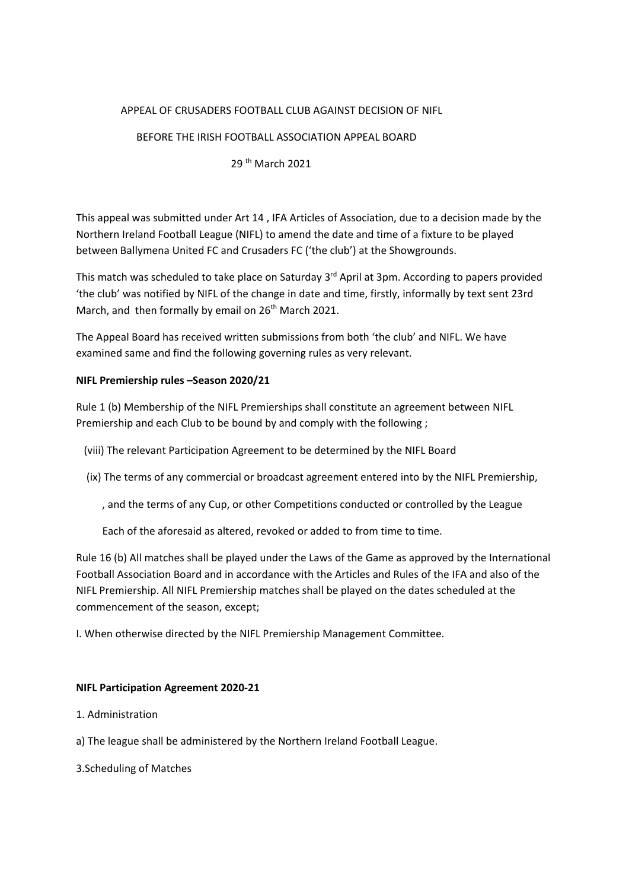## APPEAL OF CRUSADERS FOOTBALL CLUB AGAINST DECISION OF NIFL

## BEFORE THE IRISH FOOTBALL ASSOCIATION APPEAL BOARD

# 29 th March 2021

This appeal was submitted under Art 14 , IFA Articles of Association, due to a decision made by the Northern Ireland Football League (NIFL) to amend the date and time of a fixture to be played between Ballymena United FC and Crusaders FC ('the club') at the Showgrounds.

This match was scheduled to take place on Saturday 3<sup>rd</sup> April at 3pm. According to papers provided 'the club' was notified by NIFL of the change in date and time, firstly, informally by text sent 23rd March, and then formally by email on 26<sup>th</sup> March 2021.

The Appeal Board has received written submissions from both 'the club' and NIFL. We have examined same and find the following governing rules as very relevant.

## **NIFL Premiership rules –Season 2020/21**

Rule 1 (b) Membership of the NIFL Premierships shall constitute an agreement between NIFL Premiership and each Club to be bound by and comply with the following ;

- (viii) The relevant Participation Agreement to be determined by the NIFL Board
- (ix) The terms of any commercial or broadcast agreement entered into by the NIFL Premiership,
	- , and the terms of any Cup, or other Competitions conducted or controlled by the League

Each of the aforesaid as altered, revoked or added to from time to time.

Rule 16 (b) All matches shall be played under the Laws of the Game as approved by the International Football Association Board and in accordance with the Articles and Rules of the IFA and also of the NIFL Premiership. All NIFL Premiership matches shall be played on the dates scheduled at the commencement of the season, except;

I. When otherwise directed by the NIFL Premiership Management Committee.

#### **NIFL Participation Agreement 2020-21**

- 1. Administration
- a) The league shall be administered by the Northern Ireland Football League.
- 3.Scheduling of Matches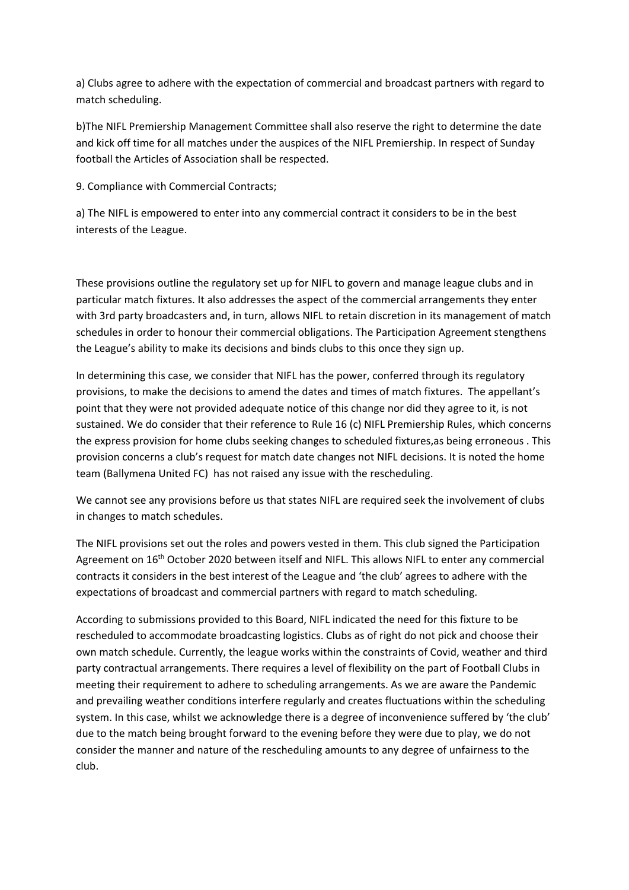a) Clubs agree to adhere with the expectation of commercial and broadcast partners with regard to match scheduling.

b)The NIFL Premiership Management Committee shall also reserve the right to determine the date and kick off time for all matches under the auspices of the NIFL Premiership. In respect of Sunday football the Articles of Association shall be respected.

9. Compliance with Commercial Contracts;

a) The NIFL is empowered to enter into any commercial contract it considers to be in the best interests of the League.

These provisions outline the regulatory set up for NIFL to govern and manage league clubs and in particular match fixtures. It also addresses the aspect of the commercial arrangements they enter with 3rd party broadcasters and, in turn, allows NIFL to retain discretion in its management of match schedules in order to honour their commercial obligations. The Participation Agreement stengthens the League's ability to make its decisions and binds clubs to this once they sign up.

In determining this case, we consider that NIFL has the power, conferred through its regulatory provisions, to make the decisions to amend the dates and times of match fixtures. The appellant's point that they were not provided adequate notice of this change nor did they agree to it, is not sustained. We do consider that their reference to Rule 16 (c) NIFL Premiership Rules, which concerns the express provision for home clubs seeking changes to scheduled fixtures,as being erroneous . This provision concerns a club's request for match date changes not NIFL decisions. It is noted the home team (Ballymena United FC) has not raised any issue with the rescheduling.

We cannot see any provisions before us that states NIFL are required seek the involvement of clubs in changes to match schedules.

The NIFL provisions set out the roles and powers vested in them. This club signed the Participation Agreement on 16<sup>th</sup> October 2020 between itself and NIFL. This allows NIFL to enter any commercial contracts it considers in the best interest of the League and 'the club' agrees to adhere with the expectations of broadcast and commercial partners with regard to match scheduling.

According to submissions provided to this Board, NIFL indicated the need for this fixture to be rescheduled to accommodate broadcasting logistics. Clubs as of right do not pick and choose their own match schedule. Currently, the league works within the constraints of Covid, weather and third party contractual arrangements. There requires a level of flexibility on the part of Football Clubs in meeting their requirement to adhere to scheduling arrangements. As we are aware the Pandemic and prevailing weather conditions interfere regularly and creates fluctuations within the scheduling system. In this case, whilst we acknowledge there is a degree of inconvenience suffered by 'the club' due to the match being brought forward to the evening before they were due to play, we do not consider the manner and nature of the rescheduling amounts to any degree of unfairness to the club.